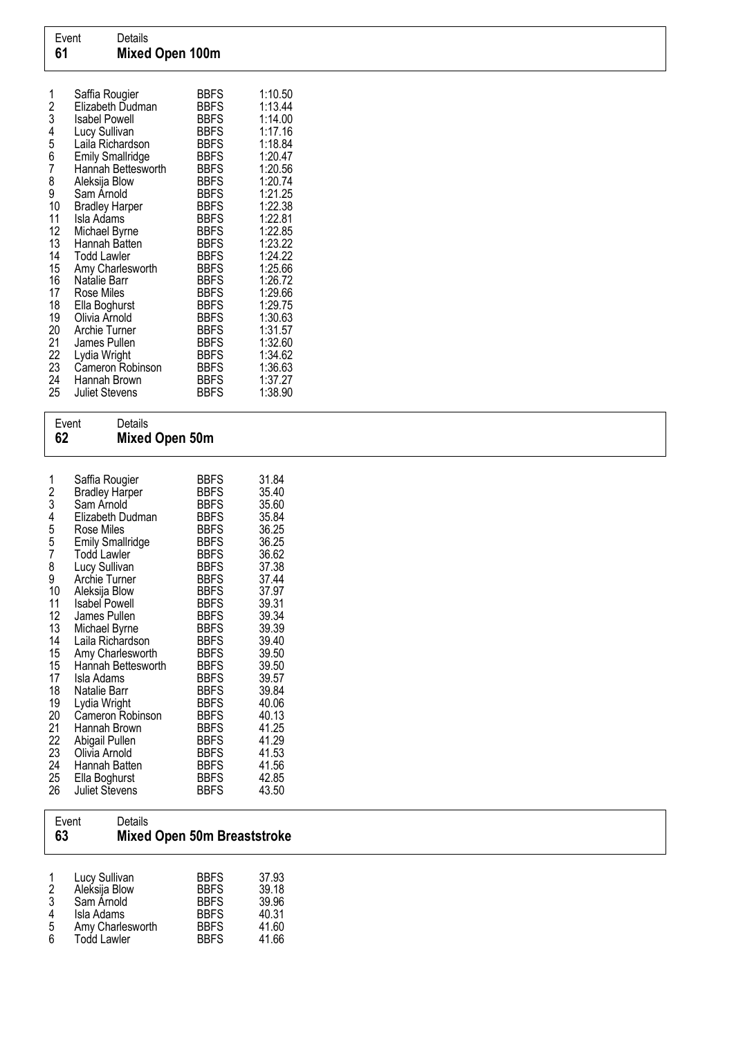| Event | Details                |
|-------|------------------------|
| 61    | <b>Mixed Open 100m</b> |

## Event Details<br>62 Mixed **Mixed Open 50m**

| 1<br>2<br>3<br>4     | Saffia Rougier<br><b>Bradley Harper</b><br>Sam Arnold<br>Elizabeth Dudman | BBFS<br><b>BBFS</b><br>BBFS<br><b>BBFS</b> | 31.84<br>35.40<br>35.60<br>35.84 |
|----------------------|---------------------------------------------------------------------------|--------------------------------------------|----------------------------------|
| 5                    | Rose Miles<br><b>Emily Smallridge</b>                                     | BBFS<br><b>BBFS</b>                        | 36.25<br>36.25                   |
| 5<br>7               | Todd Lawler                                                               | BBFS                                       | 36.62                            |
| 8<br>9               | Lucy Sullivan<br>Archie Turner                                            | <b>BBFS</b><br>BBFS                        | 37.38<br>37.44                   |
| 10                   | Aleksija Blow                                                             | BBFS                                       | 37.97                            |
| 11<br>12             | Isabel Powell<br>James Pullen                                             | BBFS<br>BBFS                               | 39.31<br>39.34                   |
| 13                   | Michael Byrne                                                             | <b>BBFS</b>                                | 39.39                            |
| 14<br>15             | Laila Richardson<br>Amy Charlesworth                                      | BBFS<br>BBFS                               | 39.40<br>39.50                   |
| 15                   | Hannah Bettesworth                                                        | BBFS                                       | 39.50                            |
| 17                   | Isla Adams                                                                | <b>BBFS</b>                                | 39.57                            |
| 18<br>19             | Natalie Barr<br>Lydia Wright                                              | BBFS<br>BBFS                               | 39.84<br>40.06                   |
| 20                   | Cameron Robinson                                                          | BBFS                                       | 40.13                            |
| 21                   | Hannah Brown                                                              | BBFS                                       | 41.25                            |
|                      |                                                                           |                                            |                                  |
| 24                   | Hannah Batten                                                             | BBFS                                       | 41.56                            |
|                      |                                                                           |                                            |                                  |
| 22<br>23<br>25<br>26 | Abigail Pullen<br>Olivia Arnold<br>Ella Boghurst<br>Juliet Stevens        | <b>BBFS</b><br>BBFS<br>BBFS<br>BBFS        | 41.29<br>41.53<br>42.85<br>43.50 |

## Event Details 63 Mixed Open 50m Breaststroke

| 1 | Lucy Sullivan      | <b>BBFS</b> | 37.93 |
|---|--------------------|-------------|-------|
| 2 | Aleksija Blow      | <b>BBFS</b> | 39.18 |
| 3 | Sam Arnold         | <b>BBFS</b> | 39.96 |
| 4 | Isla Adams         | <b>BBFS</b> | 40.31 |
| 5 | Amy Charlesworth   | <b>BBFS</b> | 41.60 |
| 6 | <b>Todd Lawler</b> | <b>BBFS</b> | 41.66 |